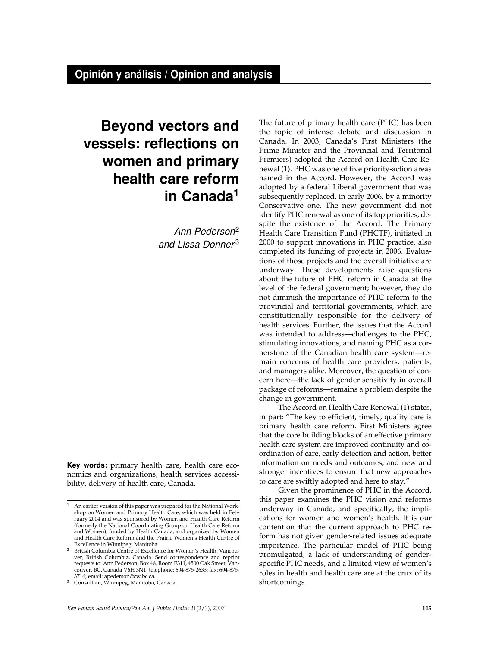# **Beyond vectors and vessels: reflections on women and primary health care reform in Canada1**

Ann Pederson2 and Lissa Donner<sup>3</sup>

**Key words:** primary health care, health care economics and organizations, health services accessibility, delivery of health care, Canada.

The future of primary health care (PHC) has been the topic of intense debate and discussion in Canada. In 2003, Canada's First Ministers (the Prime Minister and the Provincial and Territorial Premiers) adopted the Accord on Health Care Renewal (1). PHC was one of five priority-action areas named in the Accord. However, the Accord was adopted by a federal Liberal government that was subsequently replaced, in early 2006, by a minority Conservative one. The new government did not identify PHC renewal as one of its top priorities, despite the existence of the Accord. The Primary Health Care Transition Fund (PHCTF), initiated in 2000 to support innovations in PHC practice, also completed its funding of projects in 2006. Evaluations of those projects and the overall initiative are underway. These developments raise questions about the future of PHC reform in Canada at the level of the federal government; however, they do not diminish the importance of PHC reform to the provincial and territorial governments, which are constitutionally responsible for the delivery of health services. Further, the issues that the Accord was intended to address—challenges to the PHC, stimulating innovations, and naming PHC as a cornerstone of the Canadian health care system—remain concerns of health care providers, patients, and managers alike. Moreover, the question of concern here—the lack of gender sensitivity in overall package of reforms—remains a problem despite the change in government.

The Accord on Health Care Renewal (1) states, in part: "The key to efficient, timely, quality care is primary health care reform. First Ministers agree that the core building blocks of an effective primary health care system are improved continuity and coordination of care, early detection and action, better information on needs and outcomes, and new and stronger incentives to ensure that new approaches to care are swiftly adopted and here to stay."

Given the prominence of PHC in the Accord, this paper examines the PHC vision and reforms underway in Canada, and specifically, the implications for women and women's health. It is our contention that the current approach to PHC reform has not given gender-related issues adequate importance. The particular model of PHC being promulgated, a lack of understanding of genderspecific PHC needs, and a limited view of women's roles in health and health care are at the crux of its shortcomings.

An earlier version of this paper was prepared for the National Workshop on Women and Primary Health Care, which was held in February 2004 and was sponsored by Women and Health Care Reform (formerly the National Coordinating Group on Health Care Reform and Women), funded by Health Canada, and organized by Women and Health Care Reform and the Prairie Women's Health Centre of Excellence in Winnipeg, Manitoba.

<sup>&</sup>lt;sup>2</sup> British Columbia Centre of Excellence for Women's Health, Vancouver, British Columbia, Canada. Send correspondence and reprint requests to: Ann Pederson, Box 48, Room E311, 4500 Oak Street, Vancouver, BC, Canada V6H 3N1; telephone: 604-875-2633; fax: 604-875- 3716; email: apederson@cw.bc.ca.

Consultant, Winnipeg, Manitoba, Canada.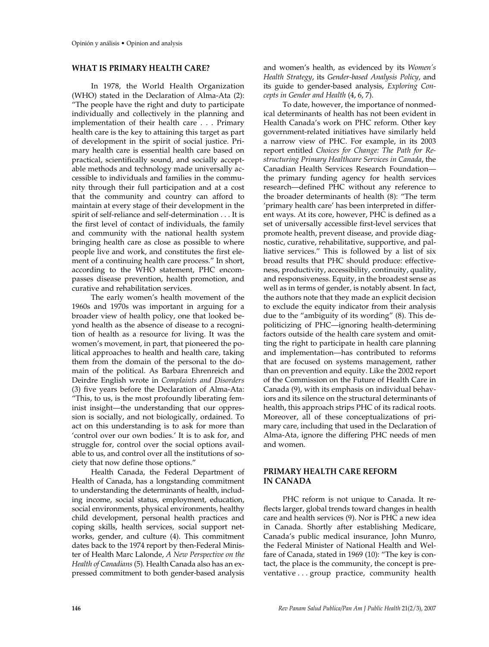## **WHAT IS PRIMARY HEALTH CARE?**

In 1978, the World Health Organization (WHO) stated in the Declaration of Alma-Ata (2): "The people have the right and duty to participate individually and collectively in the planning and implementation of their health care . . . Primary health care is the key to attaining this target as part of development in the spirit of social justice. Primary health care is essential health care based on practical, scientifically sound, and socially acceptable methods and technology made universally accessible to individuals and families in the community through their full participation and at a cost that the community and country can afford to maintain at every stage of their development in the spirit of self-reliance and self-determination . . . It is the first level of contact of individuals, the family and community with the national health system bringing health care as close as possible to where people live and work, and constitutes the first element of a continuing health care process." In short, according to the WHO statement, PHC encompasses disease prevention, health promotion, and curative and rehabilitation services.

The early women's health movement of the 1960s and 1970s was important in arguing for a broader view of health policy, one that looked beyond health as the absence of disease to a recognition of health as a resource for living. It was the women's movement, in part, that pioneered the political approaches to health and health care, taking them from the domain of the personal to the domain of the political. As Barbara Ehrenreich and Deirdre English wrote in *Complaints and Disorders* (3) five years before the Declaration of Alma-Ata: "This, to us, is the most profoundly liberating feminist insight—the understanding that our oppression is socially, and not biologically, ordained. To act on this understanding is to ask for more than 'control over our own bodies.' It is to ask for, and struggle for, control over the social options available to us, and control over all the institutions of society that now define those options."

Health Canada, the Federal Department of Health of Canada, has a longstanding commitment to understanding the determinants of health, including income, social status, employment, education, social environments, physical environments, healthy child development, personal health practices and coping skills, health services, social support networks, gender, and culture (4). This commitment dates back to the 1974 report by then-Federal Minister of Health Marc Lalonde, *A New Perspective on the Health of Canadians* (5)*.* Health Canada also has an expressed commitment to both gender-based analysis and women's health, as evidenced by its *Women's Health Strategy*, its *Gender-based Analysis Policy*, and its guide to gender-based analysis, *Exploring Concepts in Gender and Health* (4, 6, 7).

To date, however, the importance of nonmedical determinants of health has not been evident in Health Canada's work on PHC reform. Other key government-related initiatives have similarly held a narrow view of PHC. For example, in its 2003 report entitled *Choices for Change: The Path for Restructuring Primary Healthcare Services in Canada*, the Canadian Health Services Research Foundation the primary funding agency for health services research—defined PHC without any reference to the broader determinants of health (8): "The term 'primary health care' has been interpreted in different ways. At its core, however, PHC is defined as a set of universally accessible first-level services that promote health, prevent disease, and provide diagnostic, curative, rehabilitative, supportive, and palliative services." This is followed by a list of six broad results that PHC should produce: effectiveness, productivity, accessibility, continuity, quality, and responsiveness. Equity, in the broadest sense as well as in terms of gender, is notably absent. In fact, the authors note that they made an explicit decision to exclude the equity indicator from their analysis due to the "ambiguity of its wording" (8). This depoliticizing of PHC—ignoring health-determining factors outside of the health care system and omitting the right to participate in health care planning and implementation—has contributed to reforms that are focused on systems management, rather than on prevention and equity. Like the 2002 report of the Commission on the Future of Health Care in Canada (9), with its emphasis on individual behaviors and its silence on the structural determinants of health, this approach strips PHC of its radical roots. Moreover, all of these conceptualizations of primary care, including that used in the Declaration of Alma-Ata, ignore the differing PHC needs of men and women.

#### **PRIMARY HEALTH CARE REFORM IN CANADA**

PHC reform is not unique to Canada. It reflects larger, global trends toward changes in health care and health services (9). Nor is PHC a new idea in Canada. Shortly after establishing Medicare, Canada's public medical insurance, John Munro, the Federal Minister of National Health and Welfare of Canada, stated in 1969 (10): "The key is contact, the place is the community, the concept is preventative . . . group practice, community health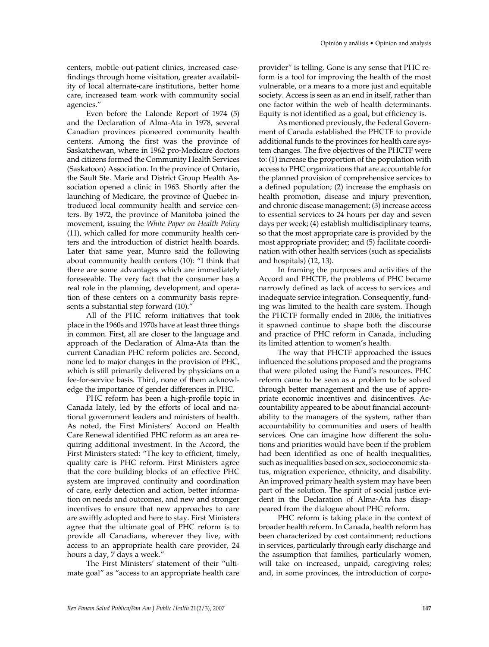centers, mobile out-patient clinics, increased casefindings through home visitation, greater availability of local alternate-care institutions, better home care, increased team work with community social agencies."

Even before the Lalonde Report of 1974 (5) and the Declaration of Alma-Ata in 1978, several Canadian provinces pioneered community health centers. Among the first was the province of Saskatchewan, where in 1962 pro-Medicare doctors and citizens formed the Community Health Services (Saskatoon) Association. In the province of Ontario, the Sault Ste. Marie and District Group Health Association opened a clinic in 1963. Shortly after the launching of Medicare, the province of Quebec introduced local community health and service centers. By 1972, the province of Manitoba joined the movement, issuing the *White Paper on Health Policy* (11), which called for more community health centers and the introduction of district health boards. Later that same year, Munro said the following about community health centers (10): "I think that there are some advantages which are immediately foreseeable. The very fact that the consumer has a real role in the planning, development, and operation of these centers on a community basis represents a substantial step forward (10)."

All of the PHC reform initiatives that took place in the 1960s and 1970s have at least three things in common. First, all are closer to the language and approach of the Declaration of Alma-Ata than the current Canadian PHC reform policies are. Second, none led to major changes in the provision of PHC, which is still primarily delivered by physicians on a fee-for-service basis. Third, none of them acknowledge the importance of gender differences in PHC.

PHC reform has been a high-profile topic in Canada lately, led by the efforts of local and national government leaders and ministers of health. As noted, the First Ministers' Accord on Health Care Renewal identified PHC reform as an area requiring additional investment. In the Accord, the First Ministers stated: "The key to efficient, timely, quality care is PHC reform. First Ministers agree that the core building blocks of an effective PHC system are improved continuity and coordination of care, early detection and action, better information on needs and outcomes, and new and stronger incentives to ensure that new approaches to care are swiftly adopted and here to stay. First Ministers agree that the ultimate goal of PHC reform is to provide all Canadians, wherever they live, with access to an appropriate health care provider, 24 hours a day, 7 days a week."

The First Ministers' statement of their "ultimate goal" as "access to an appropriate health care Opinión y análisis • Opinion and analysis

provider" is telling. Gone is any sense that PHC reform is a tool for improving the health of the most vulnerable, or a means to a more just and equitable society. Access is seen as an end in itself, rather than one factor within the web of health determinants. Equity is not identified as a goal, but efficiency is.

As mentioned previously, the Federal Government of Canada established the PHCTF to provide additional funds to the provinces for health care system changes. The five objectives of the PHCTF were to: (1) increase the proportion of the population with access to PHC organizations that are accountable for the planned provision of comprehensive services to a defined population; (2) increase the emphasis on health promotion, disease and injury prevention, and chronic disease management; (3) increase access to essential services to 24 hours per day and seven days per week; (4) establish multidisciplinary teams, so that the most appropriate care is provided by the most appropriate provider; and (5) facilitate coordination with other health services (such as specialists and hospitals) (12, 13).

In framing the purposes and activities of the Accord and PHCTF, the problems of PHC became narrowly defined as lack of access to services and inadequate service integration. Consequently, funding was limited to the health care system. Though the PHCTF formally ended in 2006, the initiatives it spawned continue to shape both the discourse and practice of PHC reform in Canada, including its limited attention to women's health.

The way that PHCTF approached the issues influenced the solutions proposed and the programs that were piloted using the Fund's resources. PHC reform came to be seen as a problem to be solved through better management and the use of appropriate economic incentives and disincentives. Accountability appeared to be about financial accountability to the managers of the system, rather than accountability to communities and users of health services. One can imagine how different the solutions and priorities would have been if the problem had been identified as one of health inequalities, such as inequalities based on sex, socioeconomic status, migration experience, ethnicity, and disability. An improved primary health system may have been part of the solution. The spirit of social justice evident in the Declaration of Alma-Ata has disappeared from the dialogue about PHC reform.

PHC reform is taking place in the context of broader health reform. In Canada, health reform has been characterized by cost containment; reductions in services, particularly through early discharge and the assumption that families, particularly women, will take on increased, unpaid, caregiving roles; and, in some provinces, the introduction of corpo-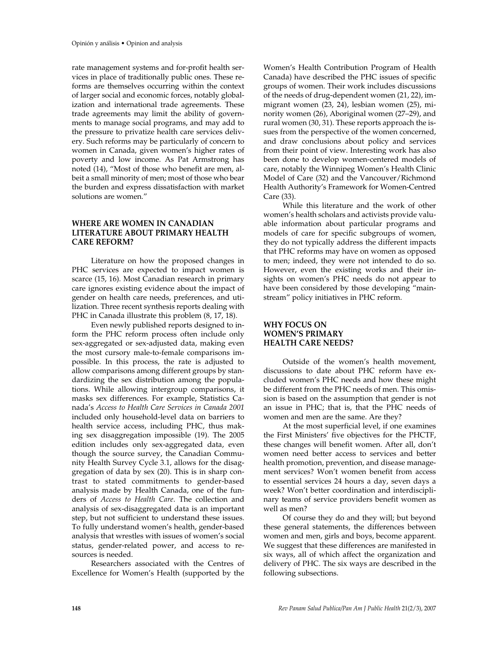rate management systems and for-profit health services in place of traditionally public ones. These reforms are themselves occurring within the context of larger social and economic forces, notably globalization and international trade agreements. These trade agreements may limit the ability of governments to manage social programs, and may add to the pressure to privatize health care services delivery. Such reforms may be particularly of concern to women in Canada, given women's higher rates of poverty and low income. As Pat Armstrong has noted (14), "Most of those who benefit are men, albeit a small minority of men; most of those who bear the burden and express dissatisfaction with market solutions are women."

## **WHERE ARE WOMEN IN CANADIAN LITERATURE ABOUT PRIMARY HEALTH CARE REFORM?**

Literature on how the proposed changes in PHC services are expected to impact women is scarce (15, 16). Most Canadian research in primary care ignores existing evidence about the impact of gender on health care needs, preferences, and utilization. Three recent synthesis reports dealing with PHC in Canada illustrate this problem (8, 17, 18).

Even newly published reports designed to inform the PHC reform process often include only sex-aggregated or sex-adjusted data, making even the most cursory male-to-female comparisons impossible. In this process, the rate is adjusted to allow comparisons among different groups by standardizing the sex distribution among the populations. While allowing intergroup comparisons, it masks sex differences. For example, Statistics Canada's *Access to Health Care Services in Canada 2001* included only household-level data on barriers to health service access, including PHC, thus making sex disaggregation impossible (19). The 2005 edition includes only sex-aggregated data, even though the source survey, the Canadian Community Health Survey Cycle 3.1, allows for the disaggregation of data by sex (20). This is in sharp contrast to stated commitments to gender-based analysis made by Health Canada, one of the funders of *Access to Health Care*. The collection and analysis of sex-disaggregated data is an important step, but not sufficient to understand these issues. To fully understand women's health, gender-based analysis that wrestles with issues of women's social status, gender-related power, and access to resources is needed.

Researchers associated with the Centres of Excellence for Women's Health (supported by the

Women's Health Contribution Program of Health Canada) have described the PHC issues of specific groups of women. Their work includes discussions of the needs of drug-dependent women (21, 22), immigrant women (23, 24), lesbian women (25), minority women (26), Aboriginal women (27–29), and rural women (30, 31). These reports approach the issues from the perspective of the women concerned, and draw conclusions about policy and services from their point of view. Interesting work has also been done to develop women-centered models of care, notably the Winnipeg Women's Health Clinic Model of Care (32) and the Vancouver/Richmond Health Authority's Framework for Women-Centred Care (33).

While this literature and the work of other women's health scholars and activists provide valuable information about particular programs and models of care for specific subgroups of women, they do not typically address the different impacts that PHC reforms may have on women as opposed to men; indeed, they were not intended to do so. However, even the existing works and their insights on women's PHC needs do not appear to have been considered by those developing "mainstream" policy initiatives in PHC reform.

## **WHY FOCUS ON WOMEN'S PRIMARY HEALTH CARE NEEDS?**

Outside of the women's health movement, discussions to date about PHC reform have excluded women's PHC needs and how these might be different from the PHC needs of men. This omission is based on the assumption that gender is not an issue in PHC; that is, that the PHC needs of women and men are the same. Are they?

At the most superficial level, if one examines the First Ministers' five objectives for the PHCTF, these changes will benefit women. After all, don't women need better access to services and better health promotion, prevention, and disease management services? Won't women benefit from access to essential services 24 hours a day, seven days a week? Won't better coordination and interdisciplinary teams of service providers benefit women as well as men?

Of course they do and they will; but beyond these general statements, the differences between women and men, girls and boys, become apparent. We suggest that these differences are manifested in six ways, all of which affect the organization and delivery of PHC. The six ways are described in the following subsections.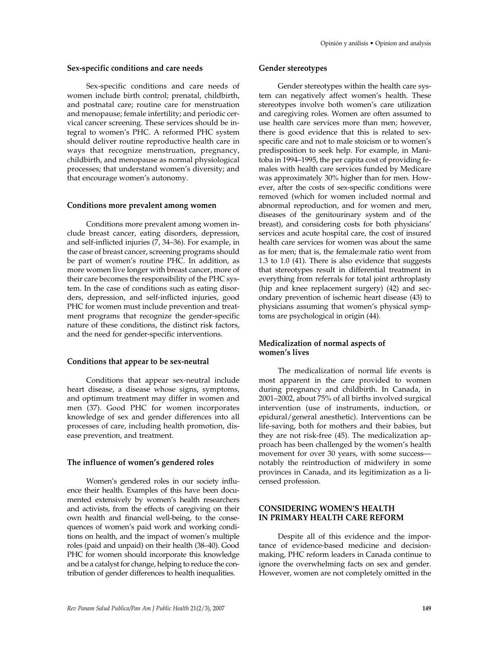#### **Sex-specific conditions and care needs**

Sex-specific conditions and care needs of women include birth control; prenatal, childbirth, and postnatal care; routine care for menstruation and menopause; female infertility; and periodic cervical cancer screening. These services should be integral to women's PHC. A reformed PHC system should deliver routine reproductive health care in ways that recognize menstruation, pregnancy, childbirth, and menopause as normal physiological processes; that understand women's diversity; and that encourage women's autonomy.

#### **Conditions more prevalent among women**

Conditions more prevalent among women include breast cancer, eating disorders, depression, and self-inflicted injuries (7, 34–36). For example, in the case of breast cancer, screening programs should be part of women's routine PHC. In addition, as more women live longer with breast cancer, more of their care becomes the responsibility of the PHC system. In the case of conditions such as eating disorders, depression, and self-inflicted injuries, good PHC for women must include prevention and treatment programs that recognize the gender-specific nature of these conditions, the distinct risk factors, and the need for gender-specific interventions.

#### **Conditions that appear to be sex-neutral**

Conditions that appear sex-neutral include heart disease, a disease whose signs, symptoms, and optimum treatment may differ in women and men (37). Good PHC for women incorporates knowledge of sex and gender differences into all processes of care, including health promotion, disease prevention, and treatment.

#### **The influence of women's gendered roles**

Women's gendered roles in our society influence their health. Examples of this have been documented extensively by women's health researchers and activists, from the effects of caregiving on their own health and financial well-being, to the consequences of women's paid work and working conditions on health, and the impact of women's multiple roles (paid and unpaid) on their health (38–40). Good PHC for women should incorporate this knowledge and be a catalyst for change, helping to reduce the contribution of gender differences to health inequalities.

#### **Gender stereotypes**

Gender stereotypes within the health care system can negatively affect women's health. These stereotypes involve both women's care utilization and caregiving roles. Women are often assumed to use health care services more than men; however, there is good evidence that this is related to sexspecific care and not to male stoicism or to women's predisposition to seek help. For example, in Manitoba in 1994–1995, the per capita cost of providing females with health care services funded by Medicare was approximately 30% higher than for men. However, after the costs of sex-specific conditions were removed (which for women included normal and abnormal reproduction, and for women and men, diseases of the genitourinary system and of the breast), and considering costs for both physicians' services and acute hospital care, the cost of insured health care services for women was about the same as for men; that is, the female:male ratio went from 1.3 to 1.0 (41). There is also evidence that suggests that stereotypes result in differential treatment in everything from referrals for total joint arthroplasty (hip and knee replacement surgery) (42) and secondary prevention of ischemic heart disease (43) to physicians assuming that women's physical symptoms are psychological in origin (44).

#### **Medicalization of normal aspects of women's lives**

The medicalization of normal life events is most apparent in the care provided to women during pregnancy and childbirth. In Canada, in 2001–2002, about 75% of all births involved surgical intervention (use of instruments, induction, or epidural/general anesthetic). Interventions can be life-saving, both for mothers and their babies, but they are not risk-free (45). The medicalization approach has been challenged by the women's health movement for over 30 years, with some success notably the reintroduction of midwifery in some provinces in Canada, and its legitimization as a licensed profession.

## **CONSIDERING WOMEN'S HEALTH IN PRIMARY HEALTH CARE REFORM**

Despite all of this evidence and the importance of evidence-based medicine and decisionmaking, PHC reform leaders in Canada continue to ignore the overwhelming facts on sex and gender. However, women are not completely omitted in the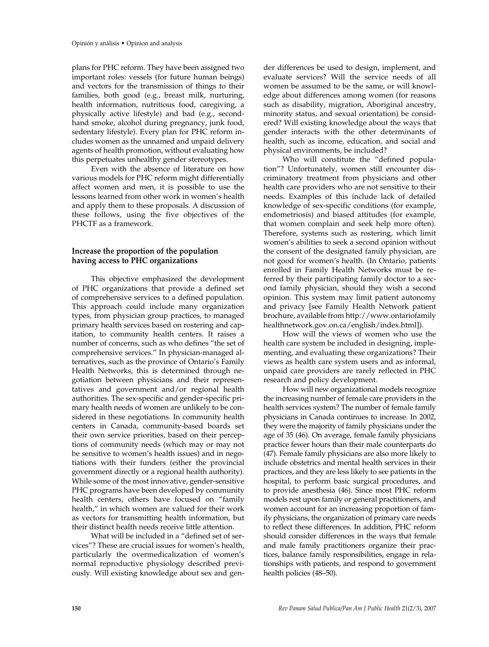plans for PHC reform. They have been assigned two important roles: vessels (for future human beings) and vectors for the transmission of things to their families, both good (e.g., breast milk, nurturing, health information, nutritious food, caregiving, a physically active lifestyle) and bad (e.g., secondhand smoke, alcohol during pregnancy, junk food, sedentary lifestyle). Every plan for PHC reform includes women as the unnamed and unpaid delivery agents of health promotion, without evaluating how this perpetuates unhealthy gender stereotypes.

Even with the absence of literature on how various models for PHC reform might differentially affect women and men, it is possible to use the lessons learned from other work in women's health and apply them to these proposals. A discussion of these follows, using the five objectives of the PHCTF as a framework.

## **Increase the proportion of the population having access to PHC organizations**

This objective emphasized the development of PHC organizations that provide a defined set of comprehensive services to a defined population. This approach could include many organization types, from physician group practices, to managed primary health services based on rostering and capitation, to community health centers. It raises a number of concerns, such as who defines "the set of comprehensive services." In physician-managed alternatives, such as the province of Ontario's Family Health Networks, this is determined through negotiation between physicians and their representatives and government and/or regional health authorities. The sex-specific and gender-specific primary health needs of women are unlikely to be considered in these negotiations. In community health centers in Canada, community-based boards set their own service priorities, based on their perceptions of community needs (which may or may not be sensitive to women's health issues) and in negotiations with their funders (either the provincial government directly or a regional health authority). While some of the most innovative, gender-sensitive PHC programs have been developed by community health centers, others have focused on "family health," in which women are valued for their work as vectors for transmitting health information, but their distinct health needs receive little attention.

What will be included in a "defined set of services"? These are crucial issues for women's health, particularly the overmedicalization of women's normal reproductive physiology described previously. Will existing knowledge about sex and gender differences be used to design, implement, and evaluate services? Will the service needs of all women be assumed to be the same, or will knowledge about differences among women (for reasons such as disability, migration, Aboriginal ancestry, minority status, and sexual orientation) be considered? Will existing knowledge about the ways that gender interacts with the other determinants of health, such as income, education, and social and physical environments, be included?

Who will constitute the "defined population"? Unfortunately, women still encounter discriminatory treatment from physicians and other health care providers who are not sensitive to their needs. Examples of this include lack of detailed knowledge of sex-specific conditions (for example, endometriosis) and biased attitudes (for example, that women complain and seek help more often). Therefore, systems such as rostering, which limit women's abilities to seek a second opinion without the consent of the designated family physician, are not good for women's health. (In Ontario, patients enrolled in Family Health Networks must be referred by their participating family doctor to a second family physician, should they wish a second opinion. This system may limit patient autonomy and privacy [see Family Health Network patient brochure, available from http://www.ontariofamily healthnetwork.gov.on.ca/english/index.html]).

How will the views of women who use the health care system be included in designing, implementing, and evaluating these organizations? Their views as health care system users and as informal, unpaid care providers are rarely reflected in PHC research and policy development.

How will new organizational models recognize the increasing number of female care providers in the health services system? The number of female family physicians in Canada continues to increase. In 2002, they were the majority of family physicians under the age of 35 (46). On average, female family physicians practice fewer hours than their male counterparts do (47). Female family physicians are also more likely to include obstetrics and mental health services in their practices, and they are less likely to see patients in the hospital, to perform basic surgical procedures, and to provide anesthesia (46). Since most PHC reform models rest upon family or general practitioners, and women account for an increasing proportion of family physicians, the organization of primary care needs to reflect these differences. In addition, PHC reform should consider differences in the ways that female and male family practitioners organize their practices, balance family responsibilities, engage in relationships with patients, and respond to government health policies (48–50).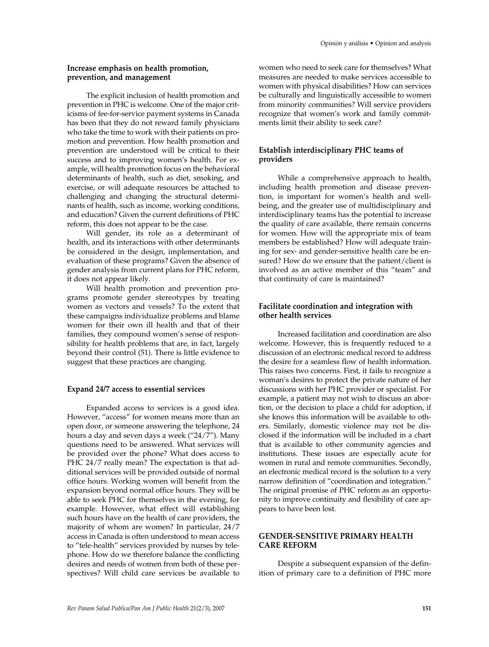#### **Increase emphasis on health promotion, prevention, and management**

The explicit inclusion of health promotion and prevention in PHC is welcome. One of the major criticisms of fee-for-service payment systems in Canada has been that they do not reward family physicians who take the time to work with their patients on promotion and prevention. How health promotion and prevention are understood will be critical to their success and to improving women's health. For example, will health promotion focus on the behavioral determinants of health, such as diet, smoking, and exercise, or will adequate resources be attached to challenging and changing the structural determinants of health, such as income, working conditions, and education? Given the current definitions of PHC reform, this does not appear to be the case.

Will gender, its role as a determinant of health, and its interactions with other determinants be considered in the design, implementation, and evaluation of these programs? Given the absence of gender analysis from current plans for PHC reform, it does not appear likely.

Will health promotion and prevention programs promote gender stereotypes by treating women as vectors and vessels? To the extent that these campaigns individualize problems and blame women for their own ill health and that of their families, they compound women's sense of responsibility for health problems that are, in fact, largely beyond their control (51). There is little evidence to suggest that these practices are changing.

#### **Expand 24/7 access to essential services**

Expanded access to services is a good idea. However, "access" for women means more than an open door, or someone answering the telephone, 24 hours a day and seven days a week ("24/7"). Many questions need to be answered. What services will be provided over the phone? What does access to PHC 24/7 really mean? The expectation is that additional services will be provided outside of normal office hours. Working women will benefit from the expansion beyond normal office hours. They will be able to seek PHC for themselves in the evening, for example. However, what effect will establishing such hours have on the health of care providers, the majority of whom are women? In particular, 24/7 access in Canada is often understood to mean access to "tele-health" services provided by nurses by telephone. How do we therefore balance the conflicting desires and needs of women from both of these perspectives? Will child care services be available to women who need to seek care for themselves? What measures are needed to make services accessible to women with physical disabilities? How can services be culturally and linguistically accessible to women from minority communities? Will service providers recognize that women's work and family commitments limit their ability to seek care?

## **Establish interdisciplinary PHC teams of providers**

While a comprehensive approach to health, including health promotion and disease prevention, is important for women's health and wellbeing, and the greater use of multidisciplinary and interdisciplinary teams has the potential to increase the quality of care available, there remain concerns for women. How will the appropriate mix of team members be established? How will adequate training for sex- and gender-sensitive health care be ensured? How do we ensure that the patient/client is involved as an active member of this "team" and that continuity of care is maintained?

## **Facilitate coordination and integration with other health services**

Increased facilitation and coordination are also welcome. However, this is frequently reduced to a discussion of an electronic medical record to address the desire for a seamless flow of health information. This raises two concerns. First, it fails to recognize a woman's desires to protect the private nature of her discussions with her PHC provider or specialist. For example, a patient may not wish to discuss an abortion, or the decision to place a child for adoption, if she knows this information will be available to others. Similarly, domestic violence may not be disclosed if the information will be included in a chart that is available to other community agencies and institutions. These issues are especially acute for women in rural and remote communities. Secondly, an electronic medical record is the solution to a very narrow definition of "coordination and integration." The original promise of PHC reform as an opportunity to improve continuity and flexibility of care appears to have been lost.

## **GENDER-SENSITIVE PRIMARY HEALTH CARE REFORM**

Despite a subsequent expansion of the definition of primary care to a definition of PHC more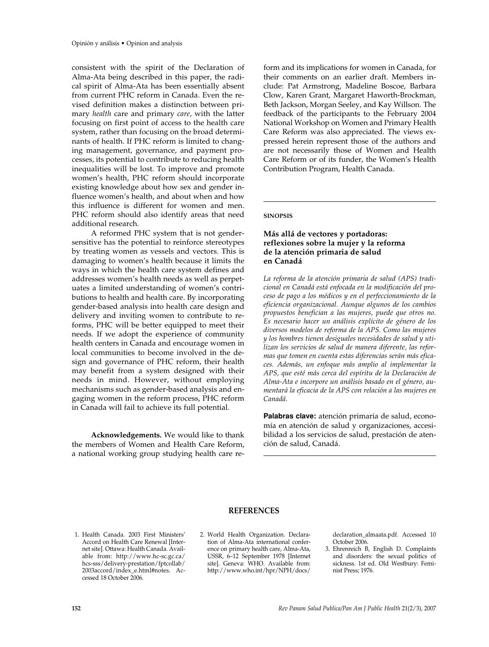consistent with the spirit of the Declaration of Alma-Ata being described in this paper, the radical spirit of Alma-Ata has been essentially absent from current PHC reform in Canada. Even the revised definition makes a distinction between primary *health* care and primary *care*, with the latter focusing on first point of access to the health care system, rather than focusing on the broad determinants of health. If PHC reform is limited to changing management, governance, and payment processes, its potential to contribute to reducing health inequalities will be lost. To improve and promote women's health, PHC reform should incorporate existing knowledge about how sex and gender influence women's health, and about when and how this influence is different for women and men. PHC reform should also identify areas that need additional research.

A reformed PHC system that is not gendersensitive has the potential to reinforce stereotypes by treating women as vessels and vectors. This is damaging to women's health because it limits the ways in which the health care system defines and addresses women's health needs as well as perpetuates a limited understanding of women's contributions to health and health care. By incorporating gender-based analysis into health care design and delivery and inviting women to contribute to reforms, PHC will be better equipped to meet their needs. If we adopt the experience of community health centers in Canada and encourage women in local communities to become involved in the design and governance of PHC reform, their health may benefit from a system designed with their needs in mind. However, without employing mechanisms such as gender-based analysis and engaging women in the reform process, PHC reform in Canada will fail to achieve its full potential.

**Acknowledgements.** We would like to thank the members of Women and Health Care Reform, a national working group studying health care reform and its implications for women in Canada, for their comments on an earlier draft. Members include: Pat Armstrong, Madeline Boscoe, Barbara Clow, Karen Grant, Margaret Haworth-Brockman, Beth Jackson, Morgan Seeley, and Kay Willson. The feedback of the participants to the February 2004 National Workshop on Women and Primary Health Care Reform was also appreciated. The views expressed herein represent those of the authors and are not necessarily those of Women and Health Care Reform or of its funder, the Women's Health Contribution Program, Health Canada.

#### **SINOPSIS**

## **Más allá de vectores y portadoras: reflexiones sobre la mujer y la reforma de la atención primaria de salud en Canadá**

*La reforma de la atención primaria de salud (APS) tradicional en Canadá está enfocada en la modificación del proceso de pago a los médicos y en el perfeccionamiento de la eficiencia organizacional. Aunque algunos de los cambios propuestos benefician a las mujeres, puede que otros no. Es necesario hacer un análisis explícito de género de los diversos modelos de reforma de la APS. Como las mujeres y los hombres tienen desiguales necesidades de salud y utilizan los servicios de salud de manera diferente, las reformas que tomen en cuenta estas diferencias serán más eficaces. Además, un enfoque más amplio al implementar la APS, que esté más cerca del espíritu de la Declaración de Alma-Ata e incorpore un análisis basado en el género, aumentará la eficacia de la APS con relación a las mujeres en Canadá.*

**Palabras clave:** atención primaria de salud, economía en atención de salud y organizaciones, accesibilidad a los servicios de salud, prestación de atención de salud, Canadá.

#### **REFERENCES**

1. Health Canada. 2003 First Ministers' Accord on Health Care Renewal [Internet site]. Ottawa: Health Canada. Available from: http://www.hc-sc.gc.ca/ hcs-sss/delivery-prestation/fptcollab/ 2003accord/index\_e.html#notes. Accessed 18 October 2006.

2. World Health Organization. Declaration of Alma-Ata international conference on primary health care, Alma-Ata, USSR, 6–12 September 1978 [Internet site]. Geneva: WHO. Available from: http://www.who.int/hpr/NPH/docs/ declaration\_almaata.pdf. Accessed 10 October 2006.

3. Ehrenreich B, English D. Complaints and disorders: the sexual politics of sickness. 1st ed. Old Westbury: Feminist Press; 1976.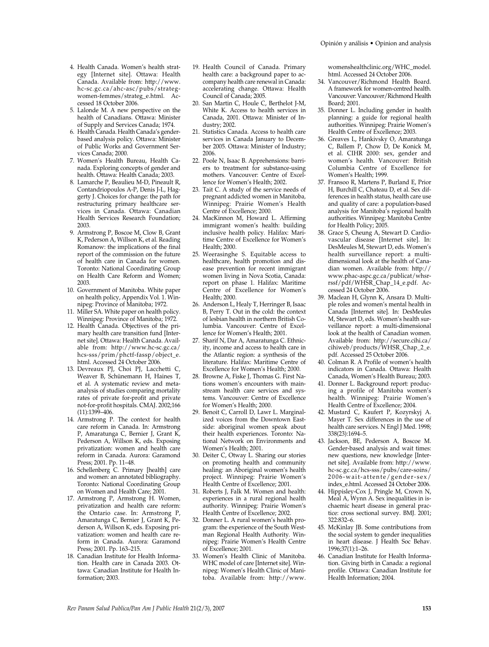- 4. Health Canada. Women's health strategy [Internet site]. Ottawa: Health Canada. Available from: http://www. hc-sc.gc.ca/ahc-asc/pubs/strategwomen-femmes/strateg\_e.html. Accessed 18 October 2006.
- 5. Lalonde M. A new perspective on the health of Canadians. Ottawa: Minister of Supply and Services Canada; 1974.
- 6. Health Canada. Health Canada's genderbased analysis policy. Ottawa: Minister of Public Works and Government Services Canada; 2000.
- 7. Women's Health Bureau, Health Canada. Exploring concepts of gender and health. Ottawa: Health Canada; 2003.
- 8. Lamarche P, Beaulieu M-D, Pineault R, Contandriopoulos A-P, Denis J-L, Haggerty J. Choices for change: the path for restructuring primary healthcare services in Canada. Ottawa: Canadian Health Services Research Foundation; 2003.
- 9. Armstrong P, Boscoe M, Clow B, Grant K, Pederson A, Willson K, et al. Reading Romanow: the implications of the final report of the commission on the future of health care in Canada for women. Toronto: National Coordinating Group on Health Care Reform and Women; 2003.
- 10. Government of Manitoba. White paper on health policy, Appendix Vol. 1. Winnipeg: Province of Manitoba; 1972.
- 11. Miller SA. White paper on health policy. Winnipeg: Province of Manitoba; 1972.
- 12. Health Canada. Objectives of the primary health care transition fund [Internet site]. Ottawa: Health Canada. Available from: http://www.hc-sc.gc.ca/ hcs-sss/prim/phctf-fassp/object\_e. html. Accessed 24 October 2006.
- 13. Devreaux PJ, Choi PJ, Lacchetti C, Weaver B, Schünemann H, Haines T, et al. A systematic review and metaanalysis of studies comparing mortality rates of private for-profit and private not-for-profit hospitals. CMAJ. 2002;166  $(11):1399-406.$
- 14. Armstrong P. The context for health care reform in Canada. In: Armstrong P, Amaratunga C, Bernier J, Grant K, Pederson A, Willson K, eds. Exposing privatization: women and health care reform in Canada. Aurora: Garamond Press; 2001. Pp. 11–48.
- 16. Schellenberg C. Primary [health] care and women: an annotated bibliography. Toronto: National Coordinating Group on Women and Health Care; 2001.
- 17. Armstrong P, Armstrong H. Women, privatization and health care reform: the Ontario case. In: Armstrong P, Amaratunga C, Bernier J, Grant K, Pederson A, Willson K, eds. Exposing privatization: women and health care reform in Canada. Aurora: Garamond Press; 2001. Pp. 163–215.
- 18. Canadian Institute for Health Information. Health care in Canada 2003. Ottawa: Canadian Institute for Health Information; 2003.
- 19. Health Council of Canada. Primary health care: a background paper to accompany health care renewal in Canada: accelerating change. Ottawa: Health Council of Canada; 2005.
- 20. San Martin C, Houle C, Berthelot J-M, White K. Access to health services in Canada, 2001. Ottawa: Minister of Industry; 2002.
- 21. Statistics Canada. Access to health care services in Canada January to December 2005. Ottawa: Minister of Industry; 2006.
- 22. Poole N, Isaac B. Apprehensions: barriers to treatment for substance-using mothers. Vancouver: Centre of Excellence for Women's Health; 2002.
- 23. Tait C. A study of the service needs of pregnant addicted women in Manitoba*,* Winnipeg: Prairie Women's Health Centre of Excellence; 2000.
- 24. MacKinnon M, Howard L. Affirming immigrant women's health: building inclusive health policy. Halifax: Maritime Centre of Excellence for Women's Health; 2000.
- 25. Weerasinghe S. Equitable access to healthcare, health promotion and disease prevention for recent immigrant women living in Nova Scotia, Canada: report on phase 1. Halifax: Maritime Centre of Excellence for Women's Health; 2000.
- 26. Anderson L, Healy T, Herringer B, Isaac B, Perry T. Out in the cold: the context of lesbian health in northern British Columbia. Vancouver: Centre of Excellence for Women's Health; 2001.
- 27. Sharif N, Dar A, Amaratunga C. Ethnicity, income and access to health care in the Atlantic region: a synthesis of the literature. Halifax: Maritime Centre of Excellence for Women's Health; 2000.
- 28. Browne A, Fiske J, Thomas G. First Nations women's encounters with mainstream health care services and systems. Vancouver: Centre of Excellence for Women's Health; 2000.
- 29. Benoit C, Carroll D, Lawr L. Marginalized voices from the Downtown Eastside: aboriginal women speak about their health experiences. Toronto: National Network on Environments and Women's Health; 2001.
- 30. Deiter C, Otway L. Sharing our stories on promoting health and community healing: an Aboriginal women's health project. Winnipeg: Prairie Women's Health Centre of Excellence; 2001.
- 31. Roberts J, Falk M. Women and health: experiences in a rural regional health authority. Winnipeg: Prairie Women's Health Centre of Excellence; 2002.
- 32. Donner L. A rural women's health program: the experience of the South Westman Regional Health Authority*.* Winnipeg: Prairie Women's Health Centre of Excellence; 2001.
- 33. Women's Health Clinic of Manitoba. WHC model of care [Internet site]. Winnipeg: Women's Health Clinic of Manitoba. Available from: http://www.

womenshealthclinic.org/WHC\_model. html. Accessed 24 October 2006.

- 34. Vancouver/Richmond Health Board. A framework for women-centred health. Vancouver: Vancouver/Richmond Health Board; 2001.
- 35. Donner L. Including gender in health planning: a guide for regional health authorities. Winnipeg: Prairie Women's Health Centre of Excellence; 2003.
- 36. Greaves L, Hankivsky O, Amaratunga C, Ballem P, Chow D, De Konick M, et al. CIHR 2000: sex, gender and women's health*.* Vancouver: British Columbia Centre of Excellence for Women's Health; 1999.
- 37. Fransoo R, Martens P, Burland E, Prior H, Burchill C, Chateau D, et al. Sex differences in health status, health care use and quality of care: a population-based analysis for Manitoba's regional health authorities. Winnipeg: Manitoba Centre for Health Policy; 2005.
- 38. Grace S, Cheung A, Stewart D. Cardiovascular disease [Internet site]. In: DesMeules M, Stewart D, eds. Women's health surveillance report: a multidimensional look at the health of Canadian women. Available from: http:// www.phac-aspc.gc.ca/publicat/whsrrssf/pdf/WHSR\_Chap\_14\_e.pdf. Accessed 24 October 2006.
- 39. Maclean H, Glynn K, Ansara D. Multiple roles and women's mental health in Canada [Internet site]. In: DesMeules M, Stewart D, eds. Women's health surveillance report: a multi-dimensional look at the health of Canadian women. Available from: http://secure.cihi.ca/ cihiweb/products/WHSR\_Chap\_2\_e. pdf. Accessed 25 October 2006.
- 40. Colman R. A Profile of women's health indicators in Canada. Ottawa: Health Canada, Women's Health Bureau; 2003.
- 41. Donner L. Background report: producing a profile of Manitoba women's health. Winnipeg: Prairie Women's Health Centre of Excellence; 2004.
- 42. Mustard C, Kaufert P, Kozyrskyj A. Mayer T. Sex differences in the use of health care services. N Engl J Med. 1998; 338(23):1694–5.
- 43. Jackson, BE, Pederson A, Boscoe M. Gender-based analysis and wait times: new questions, new knowledge [Internet site]. Available from: http://www. hc-sc.gc.ca/hcs-sss/pubs/care-soins/ 2006-wait-attente/gender-sex/ index\_e.html. Accessed 24 October 2006.
- 44. Hippisley-Cox J, Pringle M, Crown N, Meal A, Wynn A. Sex inequalities in ischaemic heart disease in general practice: cross sectional survey. BMJ. 2001; 322:832–6.
- 45. McKinlay JB. Some contributions from the social system to gender inequalities in heart disease. J Health Soc Behav. 1996;37(1):1–26.
- 46. Canadian Institute for Health Information. Giving birth in Canada: a regional profile. Ottawa: Canadian Institute for Health Information; 2004.